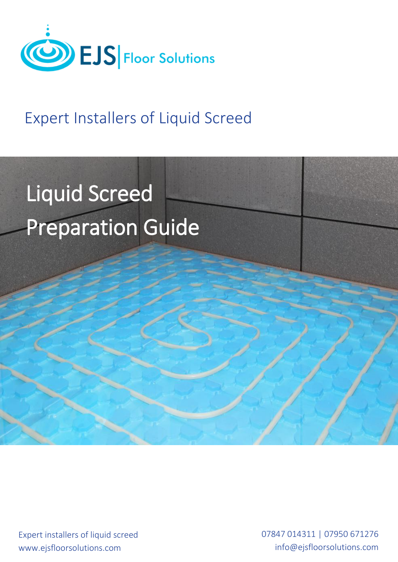

# Expert Installers of Liquid Screed

# Liquid Screed Preparation Guide

Expert installers of liquid screed www.ejsfloorsolutions.com

07847 014311 | 07950 671276 info@ejsfloorsolutions.com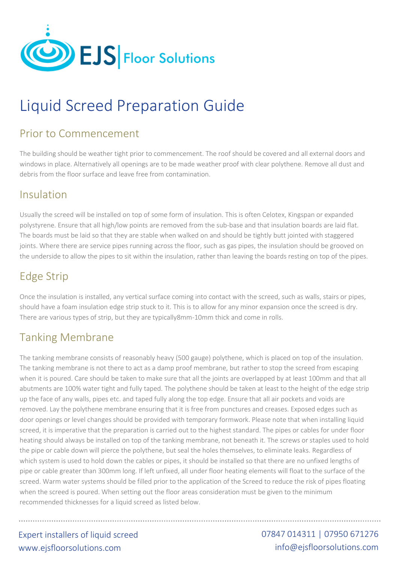

# Liquid Screed Preparation Guide

#### Prior to Commencement

The building should be weather tight prior to commencement. The roof should be covered and all external doors and windows in place. Alternatively all openings are to be made weather proof with clear polythene. Remove all dust and debris from the floor surface and leave free from contamination.

#### Insulation

Usually the screed will be installed on top of some form of insulation. This is often Celotex, Kingspan or expanded polystyrene. Ensure that all high/low points are removed from the sub‐base and that insulation boards are laid flat. The boards must be laid so that they are stable when walked on and should be tightly butt jointed with staggered joints. Where there are service pipes running across the floor, such as gas pipes, the insulation should be grooved on the underside to allow the pipes to sit within the insulation, rather than leaving the boards resting on top of the pipes.

# Edge Strip

Once the insulation is installed, any vertical surface coming into contact with the screed, such as walls, stairs or pipes, should have a foam insulation edge strip stuck to it. This is to allow for any minor expansion once the screed is dry. There are various types of strip, but they are typically8mm‐10mm thick and come in rolls.

### Tanking Membrane

The tanking membrane consists of reasonably heavy (500 gauge) polythene, which is placed on top of the insulation. The tanking membrane is not there to act as a damp proof membrane, but rather to stop the screed from escaping when it is poured. Care should be taken to make sure that all the joints are overlapped by at least 100mm and that all abutments are 100% water tight and fully taped. The polythene should be taken at least to the height of the edge strip up the face of any walls, pipes etc. and taped fully along the top edge. Ensure that all air pockets and voids are removed. Lay the polythene membrane ensuring that it is free from punctures and creases. Exposed edges such as door openings or level changes should be provided with temporary formwork. Please note that when installing liquid screed, it is imperative that the preparation is carried out to the highest standard. The pipes or cables for under floor heating should always be installed on top of the tanking membrane, not beneath it. The screws or staples used to hold the pipe or cable down will pierce the polythene, but seal the holes themselves, to eliminate leaks. Regardless of which system is used to hold down the cables or pipes, it should be installed so that there are no unfixed lengths of pipe or cable greater than 300mm long. If left unfixed, all under floor heating elements will float to the surface of the screed. Warm water systems should be filled prior to the application of the Screed to reduce the risk of pipes floating when the screed is poured. When setting out the floor areas consideration must be given to the minimum recommended thicknesses for a liquid screed as listed below.

Expert installers of liquid screed www.ejsfloorsolutions.com

07847 014311 | 07950 671276 info@ejsfloorsolutions.com